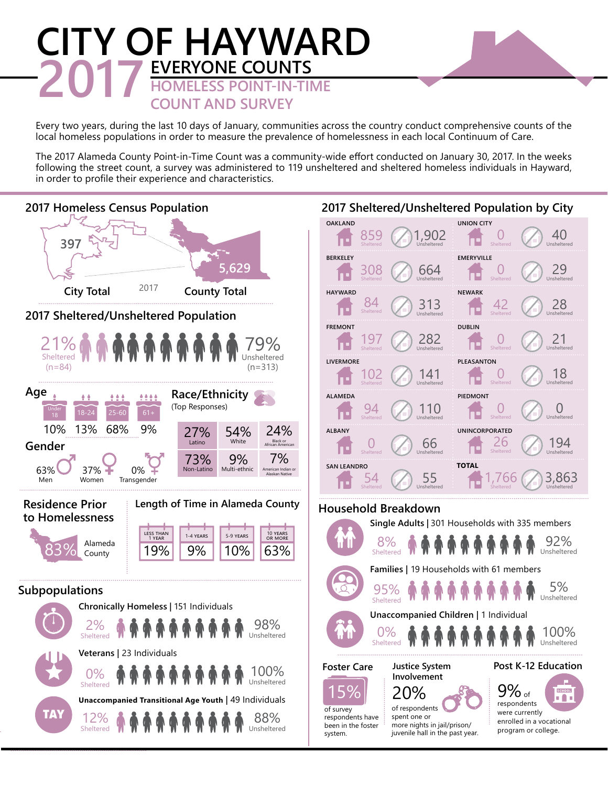## **CITY OF HAYWARD 2017 EVERYONE COUNTS**<br> **EVERYONE COUNT-IN-TIME**<br> **COUNT AND SURVEY COUNT AND SURVEY**

Every two years, during the last 10 days of January, communities across the country conduct comprehensive counts of the local homeless populations in order to measure the prevalence of homelessness in each local Continuum of Care.

The 2017 Alameda County Point-in-Time Count was a community-wide effort conducted on January 30, 2017. In the weeks following the street count, a survey was administered to 119 unsheltered and sheltered homeless individuals in Hayward, in order to profile their experience and characteristics.